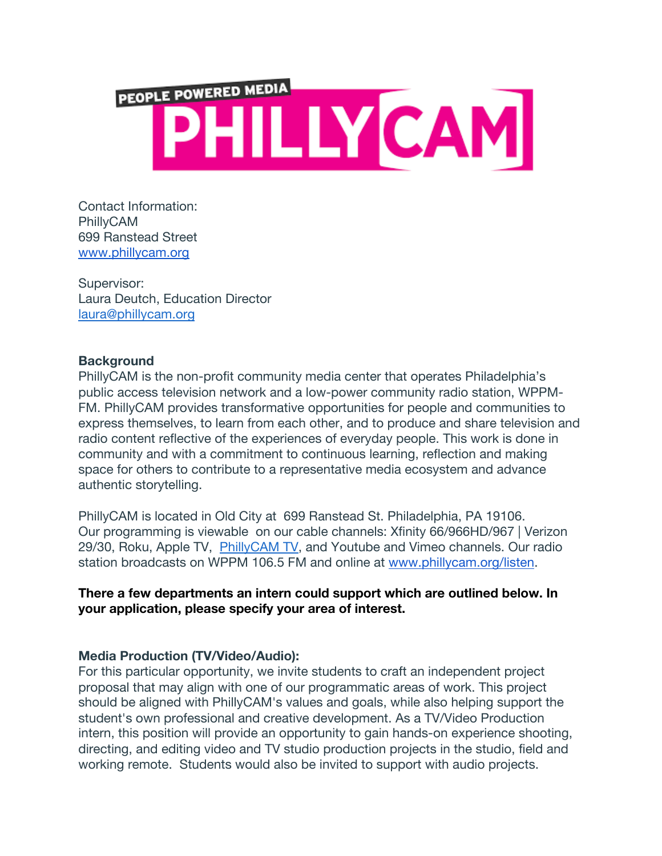

Contact Information: PhillyCAM 699 Ranstead Street www.phillycam.org

Supervisor: Laura Deutch, Education Director laura@phillycam.org

### **Background**

PhillyCAM is the non-profit community media center that operates Philadelphia's public access television network and a low-power community radio station, WPPM-FM. PhillyCAM provides transformative opportunities for people and communities to express themselves, to learn from each other, and to produce and share television and radio content reflective of the experiences of everyday people. This work is done in community and with a commitment to continuous learning, reflection and making space for others to contribute to a representative media ecosystem and advance authentic storytelling.

PhillyCAM is located in Old City at 699 Ranstead St. Philadelphia, PA 19106. Our programming is viewable on our cable channels: Xfinity 66/966HD/967 | Verizon 29/30, Roku, Apple TV, PhillyCAM TV, and Youtube and Vimeo channels. Our radio station broadcasts on WPPM 106.5 FM and online at www.phillycam.org/listen.

**There a few departments an intern could support which are outlined below. In your application, please specify your area of interest.**

# **Media Production (TV/Video/Audio):**

For this particular opportunity, we invite students to craft an independent project proposal that may align with one of our programmatic areas of work. This project should be aligned with PhillyCAM's values and goals, while also helping support the student's own professional and creative development. As a TV/Video Production intern, this position will provide an opportunity to gain hands-on experience shooting, directing, and editing video and TV studio production projects in the studio, field and working remote. Students would also be invited to support with audio projects.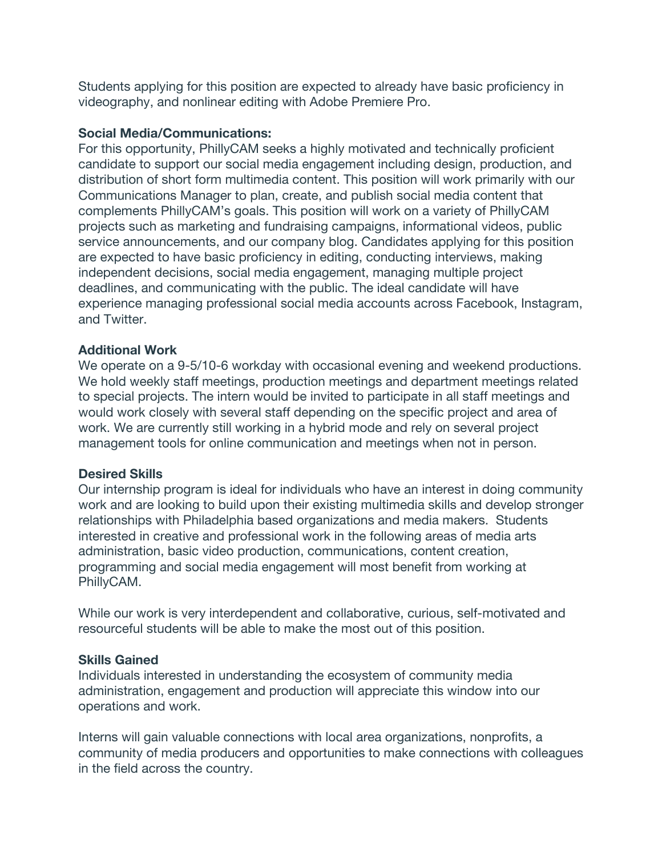Students applying for this position are expected to already have basic proficiency in videography, and nonlinear editing with Adobe Premiere Pro.

### **Social Media/Communications:**

For this opportunity, PhillyCAM seeks a highly motivated and technically proficient candidate to support our social media engagement including design, production, and distribution of short form multimedia content. This position will work primarily with our Communications Manager to plan, create, and publish social media content that complements PhillyCAM's goals. This position will work on a variety of PhillyCAM projects such as marketing and fundraising campaigns, informational videos, public service announcements, and our company blog. Candidates applying for this position are expected to have basic proficiency in editing, conducting interviews, making independent decisions, social media engagement, managing multiple project deadlines, and communicating with the public. The ideal candidate will have experience managing professional social media accounts across Facebook, Instagram, and Twitter.

## **Additional Work**

We operate on a 9-5/10-6 workday with occasional evening and weekend productions. We hold weekly staff meetings, production meetings and department meetings related to special projects. The intern would be invited to participate in all staff meetings and would work closely with several staff depending on the specific project and area of work. We are currently still working in a hybrid mode and rely on several project management tools for online communication and meetings when not in person.

### **Desired Skills**

Our internship program is ideal for individuals who have an interest in doing community work and are looking to build upon their existing multimedia skills and develop stronger relationships with Philadelphia based organizations and media makers. Students interested in creative and professional work in the following areas of media arts administration, basic video production, communications, content creation, programming and social media engagement will most benefit from working at PhillyCAM.

While our work is very interdependent and collaborative, curious, self-motivated and resourceful students will be able to make the most out of this position.

### **Skills Gained**

Individuals interested in understanding the ecosystem of community media administration, engagement and production will appreciate this window into our operations and work.

Interns will gain valuable connections with local area organizations, nonprofits, a community of media producers and opportunities to make connections with colleagues in the field across the country.